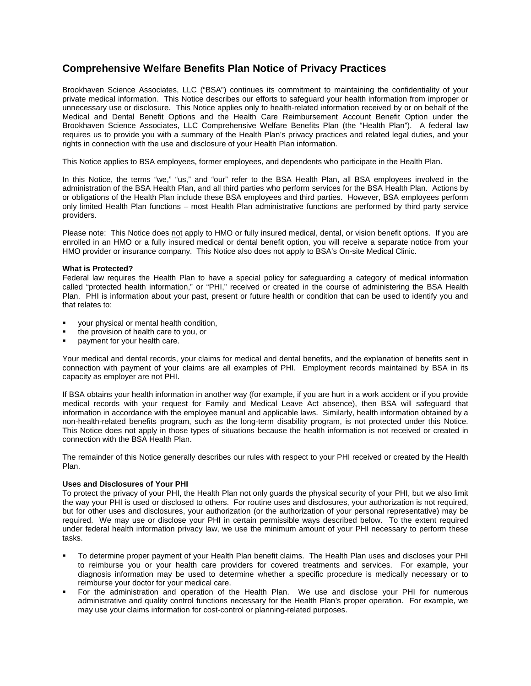# **Comprehensive Welfare Benefits Plan Notice of Privacy Practices**

Brookhaven Science Associates, LLC ("BSA") continues its commitment to maintaining the confidentiality of your private medical information. This Notice describes our efforts to safeguard your health information from improper or unnecessary use or disclosure. This Notice applies only to health-related information received by or on behalf of the Medical and Dental Benefit Options and the Health Care Reimbursement Account Benefit Option under the Brookhaven Science Associates, LLC Comprehensive Welfare Benefits Plan (the "Health Plan"). A federal law requires us to provide you with a summary of the Health Plan's privacy practices and related legal duties, and your rights in connection with the use and disclosure of your Health Plan information.

This Notice applies to BSA employees, former employees, and dependents who participate in the Health Plan.

In this Notice, the terms "we," "us," and "our" refer to the BSA Health Plan, all BSA employees involved in the administration of the BSA Health Plan, and all third parties who perform services for the BSA Health Plan. Actions by or obligations of the Health Plan include these BSA employees and third parties. However, BSA employees perform only limited Health Plan functions – most Health Plan administrative functions are performed by third party service providers.

Please note: This Notice does not apply to HMO or fully insured medical, dental, or vision benefit options. If you are enrolled in an HMO or a fully insured medical or dental benefit option, you will receive a separate notice from your HMO provider or insurance company. This Notice also does not apply to BSA's On-site Medical Clinic.

## **What is Protected?**

Federal law requires the Health Plan to have a special policy for safeguarding a category of medical information called "protected health information," or "PHI," received or created in the course of administering the BSA Health Plan. PHI is information about your past, present or future health or condition that can be used to identify you and that relates to:

- your physical or mental health condition,
- the provision of health care to you, or
- payment for your health care.

Your medical and dental records, your claims for medical and dental benefits, and the explanation of benefits sent in connection with payment of your claims are all examples of PHI. Employment records maintained by BSA in its capacity as employer are not PHI.

If BSA obtains your health information in another way (for example, if you are hurt in a work accident or if you provide medical records with your request for Family and Medical Leave Act absence), then BSA will safeguard that information in accordance with the employee manual and applicable laws. Similarly, health information obtained by a non-health-related benefits program, such as the long-term disability program, is not protected under this Notice. This Notice does not apply in those types of situations because the health information is not received or created in connection with the BSA Health Plan.

The remainder of this Notice generally describes our rules with respect to your PHI received or created by the Health Plan.

# **Uses and Disclosures of Your PHI**

To protect the privacy of your PHI, the Health Plan not only guards the physical security of your PHI, but we also limit the way your PHI is used or disclosed to others. For routine uses and disclosures, your authorization is not required, but for other uses and disclosures, your authorization (or the authorization of your personal representative) may be required. We may use or disclose your PHI in certain permissible ways described below. To the extent required under federal health information privacy law, we use the minimum amount of your PHI necessary to perform these tasks.

- To determine proper payment of your Health Plan benefit claims. The Health Plan uses and discloses your PHI to reimburse you or your health care providers for covered treatments and services. For example, your diagnosis information may be used to determine whether a specific procedure is medically necessary or to reimburse your doctor for your medical care.
- For the administration and operation of the Health Plan. We use and disclose your PHI for numerous administrative and quality control functions necessary for the Health Plan's proper operation. For example, we may use your claims information for cost-control or planning-related purposes.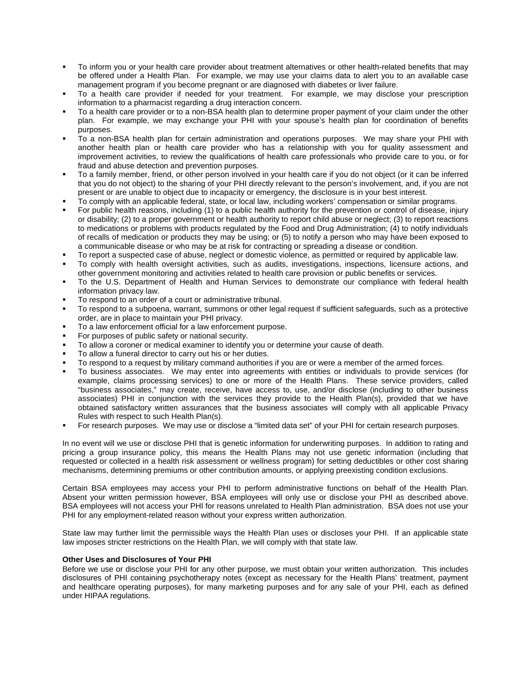- To inform you or your health care provider about treatment alternatives or other health-related benefits that may be offered under a Health Plan. For example, we may use your claims data to alert you to an available case management program if you become pregnant or are diagnosed with diabetes or liver failure.
- To a health care provider if needed for your treatment.For example, we may disclose your prescription information to a pharmacist regarding a drug interaction concern.
- To a health care provider or to a non-BSA health plan to determine proper payment of your claim under the other plan. For example, we may exchange your PHI with your spouse's health plan for coordination of benefits purposes.
- To a non-BSA health plan for certain administration and operations purposes. We may share your PHI with another health plan or health care provider who has a relationship with you for quality assessment and improvement activities, to review the qualifications of health care professionals who provide care to you, or for fraud and abuse detection and prevention purposes.
- To a family member, friend, or other person involved in your health care if you do not object (or it can be inferred that you do not object) to the sharing of your PHI directly relevant to the person's involvement, and, if you are not present or are unable to object due to incapacity or emergency, the disclosure is in your best interest.
- To comply with an applicable federal, state, or local law, including workers' compensation or similar programs.
- For public health reasons, including (1) to a public health authority for the prevention or control of disease, injury or disability; (2) to a proper government or health authority to report child abuse or neglect; (3) to report reactions to medications or problems with products regulated by the Food and Drug Administration; (4) to notify individuals of recalls of medication or products they may be using; or (5) to notify a person who may have been exposed to a communicable disease or who may be at risk for contracting or spreading a disease or condition.
- To report a suspected case of abuse, neglect or domestic violence, as permitted or required by applicable law.
- To comply with health oversight activities, such as audits, investigations, inspections, licensure actions, and other government monitoring and activities related to health care provision or public benefits or services.
- To the U.S. Department of Health and Human Services to demonstrate our compliance with federal health information privacy law.
- To respond to an order of a court or administrative tribunal.
- To respond to a subpoena, warrant, summons or other legal request if sufficient safeguards, such as a protective order, are in place to maintain your PHI privacy.
- To a law enforcement official for a law enforcement purpose.
- For purposes of public safety or national security.
- To allow a coroner or medical examiner to identify you or determine your cause of death.
- To allow a funeral director to carry out his or her duties.
- To respond to a request by military command authorities if you are or were a member of the armed forces.
- To business associates. We may enter into agreements with entities or individuals to provide services (for example, claims processing services) to one or more of the Health Plans. These service providers, called "business associates," may create, receive, have access to, use, and/or disclose (including to other business associates) PHI in conjunction with the services they provide to the Health Plan(s), provided that we have obtained satisfactory written assurances that the business associates will comply with all applicable Privacy Rules with respect to such Health Plan(s).
- For research purposes. We may use or disclose a "limited data set" of your PHI for certain research purposes.

In no event will we use or disclose PHI that is genetic information for underwriting purposes. In addition to rating and pricing a group insurance policy, this means the Health Plans may not use genetic information (including that requested or collected in a health risk assessment or wellness program) for setting deductibles or other cost sharing mechanisms, determining premiums or other contribution amounts, or applying preexisting condition exclusions.

Certain BSA employees may access your PHI to perform administrative functions on behalf of the Health Plan. Absent your written permission however, BSA employees will only use or disclose your PHI as described above. BSA employees will not access your PHI for reasons unrelated to Health Plan administration. BSA does not use your PHI for any employment-related reason without your express written authorization.

State law may further limit the permissible ways the Health Plan uses or discloses your PHI. If an applicable state law imposes stricter restrictions on the Health Plan, we will comply with that state law.

# **Other Uses and Disclosures of Your PHI**

Before we use or disclose your PHI for any other purpose, we must obtain your written authorization. This includes disclosures of PHI containing psychotherapy notes (except as necessary for the Health Plans' treatment, payment and healthcare operating purposes), for many marketing purposes and for any sale of your PHI, each as defined under HIPAA regulations.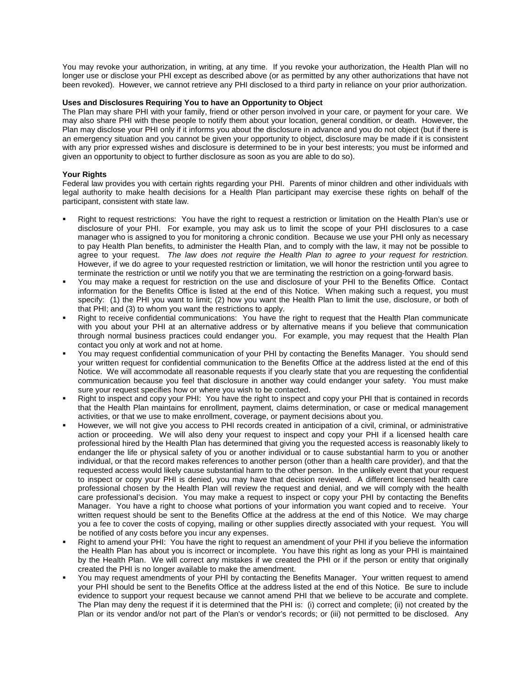You may revoke your authorization, in writing, at any time. If you revoke your authorization, the Health Plan will no longer use or disclose your PHI except as described above (or as permitted by any other authorizations that have not been revoked). However, we cannot retrieve any PHI disclosed to a third party in reliance on your prior authorization.

# **Uses and Disclosures Requiring You to have an Opportunity to Object**

The Plan may share PHI with your family, friend or other person involved in your care, or payment for your care. We may also share PHI with these people to notify them about your location, general condition, or death. However, the Plan may disclose your PHI only if it informs you about the disclosure in advance and you do not object (but if there is an emergency situation and you cannot be given your opportunity to object, disclosure may be made if it is consistent with any prior expressed wishes and disclosure is determined to be in your best interests; you must be informed and given an opportunity to object to further disclosure as soon as you are able to do so).

## **Your Rights**

Federal law provides you with certain rights regarding your PHI. Parents of minor children and other individuals with legal authority to make health decisions for a Health Plan participant may exercise these rights on behalf of the participant, consistent with state law.

- Right to request restrictions: You have the right to request a restriction or limitation on the Health Plan's use or disclosure of your PHI. For example, you may ask us to limit the scope of your PHI disclosures to a case manager who is assigned to you for monitoring a chronic condition. Because we use your PHI only as necessary to pay Health Plan benefits, to administer the Health Plan, and to comply with the law, it may not be possible to agree to your request. *The law does not require the Health Plan to agree to your request for restriction.* However, if we do agree to your requested restriction or limitation, we will honor the restriction until you agree to terminate the restriction or until we notify you that we are terminating the restriction on a going-forward basis.
- You may make a request for restriction on the use and disclosure of your PHI to the Benefits Office. Contact information for the Benefits Office is listed at the end of this Notice. When making such a request, you must specify: (1) the PHI you want to limit; (2) how you want the Health Plan to limit the use, disclosure, or both of that PHI; and (3) to whom you want the restrictions to apply.
- Right to receive confidential communications: You have the right to request that the Health Plan communicate with you about your PHI at an alternative address or by alternative means if you believe that communication through normal business practices could endanger you. For example, you may request that the Health Plan contact you only at work and not at home.
- You may request confidential communication of your PHI by contacting the Benefits Manager. You should send your written request for confidential communication to the Benefits Office at the address listed at the end of this Notice. We will accommodate all reasonable requests if you clearly state that you are requesting the confidential communication because you feel that disclosure in another way could endanger your safety. You must make sure your request specifies how or where you wish to be contacted.
- Right to inspect and copy your PHI: You have the right to inspect and copy your PHI that is contained in records that the Health Plan maintains for enrollment, payment, claims determination, or case or medical management activities, or that we use to make enrollment, coverage, or payment decisions about you.
- However, we will not give you access to PHI records created in anticipation of a civil, criminal, or administrative action or proceeding. We will also deny your request to inspect and copy your PHI if a licensed health care professional hired by the Health Plan has determined that giving you the requested access is reasonably likely to endanger the life or physical safety of you or another individual or to cause substantial harm to you or another individual, or that the record makes references to another person (other than a health care provider), and that the requested access would likely cause substantial harm to the other person. In the unlikely event that your request to inspect or copy your PHI is denied, you may have that decision reviewed. A different licensed health care professional chosen by the Health Plan will review the request and denial, and we will comply with the health care professional's decision. You may make a request to inspect or copy your PHI by contacting the Benefits Manager. You have a right to choose what portions of your information you want copied and to receive. Your written request should be sent to the Benefits Office at the address at the end of this Notice. We may charge you a fee to cover the costs of copying, mailing or other supplies directly associated with your request. You will be notified of any costs before you incur any expenses.
- Right to amend your PHI: You have the right to request an amendment of your PHI if you believe the information the Health Plan has about you is incorrect or incomplete. You have this right as long as your PHI is maintained by the Health Plan. We will correct any mistakes if we created the PHI or if the person or entity that originally created the PHI is no longer available to make the amendment.
- You may request amendments of your PHI by contacting the Benefits Manager. Your written request to amend your PHI should be sent to the Benefits Office at the address listed at the end of this Notice. Be sure to include evidence to support your request because we cannot amend PHI that we believe to be accurate and complete. The Plan may deny the request if it is determined that the PHI is: (i) correct and complete; (ii) not created by the Plan or its vendor and/or not part of the Plan's or vendor's records; or (iii) not permitted to be disclosed. Any